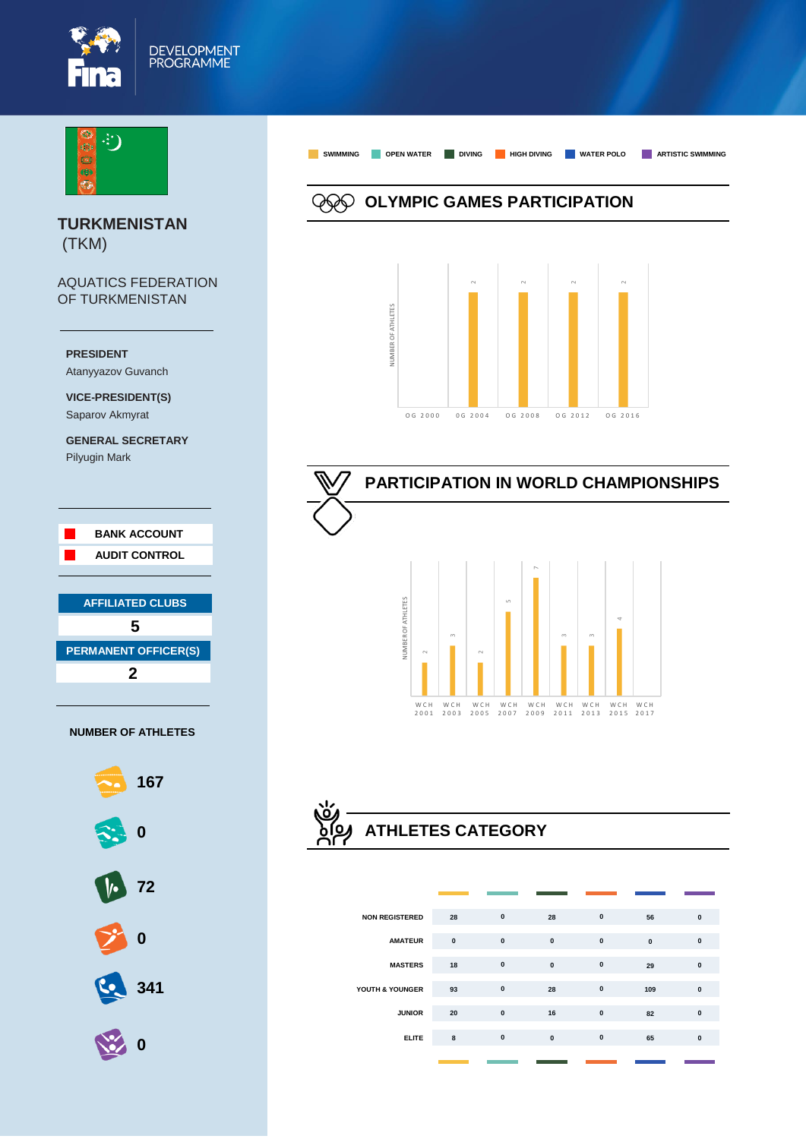



**TURKMENISTAN** (TKM)

AQUATICS FEDERATION OF TURKMENISTAN



**VICE-PRESIDENT(S)** Saparov Akmyrat

**GENERAL SECRETARY** Pilyugin Mark





**SWIMMING OPEN WATER DIVING HIGH DIVING WATER POLO ARTISTIC SWIMMING OLYMPIC GAMES PARTICIPATION** NUMBER OF ATHLETES NUMBER OF ATHLETES

O G 2000 0 0 2004 0 6 2008 0 6 2012 0 6 2016







| <b>NON REGISTERED</b> | 28        | $\mathbf{0}$ | 28           | $\mathbf{0}$ | 56           | $\mathbf{0}$ |
|-----------------------|-----------|--------------|--------------|--------------|--------------|--------------|
| <b>AMATEUR</b>        | $\pmb{0}$ | $\mathbf{0}$ | $\mathbf{0}$ | $\mathbf{0}$ | $\mathbf{0}$ | $\mathbf{0}$ |
| <b>MASTERS</b>        | 18        | $\pmb{0}$    | $\mathbf{0}$ | $\mathbf{0}$ | 29           | $\mathbf{0}$ |
| YOUTH & YOUNGER       | 93        | $\pmb{0}$    | 28           | $\pmb{0}$    | 109          | $\mathbf{0}$ |
| <b>JUNIOR</b>         | 20        | $\pmb{0}$    | 16           | $\pmb{0}$    | 82           | $\mathbf{0}$ |
| <b>ELITE</b>          | 8         | $\pmb{0}$    | $\bf{0}$     | $\mathbf{0}$ | 65           | $\mathbf{0}$ |
|                       |           |              |              |              |              |              |